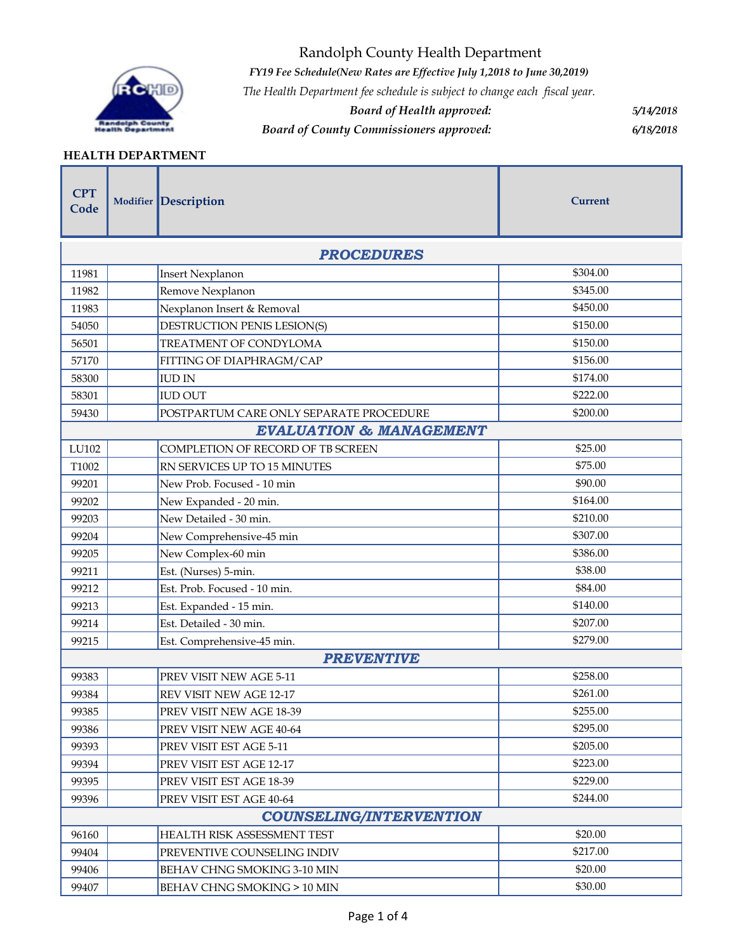

*FY19 Fee Schedule(New Rates are Effective July 1,2018 to June 30,2019)*

*The Health Department fee schedule is subject to change each fiscal year.*

*Board of Health approved: 5/14/2018*

# *Board of County Commissioners approved: 6/18/2018*

#### **HEALTH DEPARTMENT**

<u> Andrew Maria Ba</u>

| <b>CPT</b><br>Code             |                   | Modifier Description                    | <b>Current</b> |  |  |  |  |
|--------------------------------|-------------------|-----------------------------------------|----------------|--|--|--|--|
|                                | <b>PROCEDURES</b> |                                         |                |  |  |  |  |
| 11981                          |                   | Insert Nexplanon                        | \$304.00       |  |  |  |  |
| 11982                          |                   | Remove Nexplanon                        | \$345.00       |  |  |  |  |
| 11983                          |                   | Nexplanon Insert & Removal              | \$450.00       |  |  |  |  |
| 54050                          |                   | DESTRUCTION PENIS LESION(S)             | \$150.00       |  |  |  |  |
| 56501                          |                   | TREATMENT OF CONDYLOMA                  | \$150.00       |  |  |  |  |
| 57170                          |                   | FITTING OF DIAPHRAGM/CAP                | \$156.00       |  |  |  |  |
| 58300                          |                   | <b>IUD IN</b>                           | \$174.00       |  |  |  |  |
| 58301                          |                   | <b>IUD OUT</b>                          | \$222.00       |  |  |  |  |
| 59430                          |                   | POSTPARTUM CARE ONLY SEPARATE PROCEDURE | \$200.00       |  |  |  |  |
|                                |                   | <b>EVALUATION &amp; MANAGEMENT</b>      |                |  |  |  |  |
| LU102                          |                   | COMPLETION OF RECORD OF TB SCREEN       | \$25.00        |  |  |  |  |
| T1002                          |                   | RN SERVICES UP TO 15 MINUTES            | \$75.00        |  |  |  |  |
| 99201                          |                   | New Prob. Focused - 10 min              | \$90.00        |  |  |  |  |
| 99202                          |                   | New Expanded - 20 min.                  | \$164.00       |  |  |  |  |
| 99203                          |                   | New Detailed - 30 min.                  | \$210.00       |  |  |  |  |
| 99204                          |                   | New Comprehensive-45 min                | \$307.00       |  |  |  |  |
| 99205                          |                   | New Complex-60 min                      | \$386.00       |  |  |  |  |
| 99211                          |                   | Est. (Nurses) 5-min.                    | \$38.00        |  |  |  |  |
| 99212                          |                   | Est. Prob. Focused - 10 min.            | \$84.00        |  |  |  |  |
| 99213                          |                   | Est. Expanded - 15 min.                 | \$140.00       |  |  |  |  |
| 99214                          |                   | Est. Detailed - 30 min.                 | \$207.00       |  |  |  |  |
| 99215                          |                   | Est. Comprehensive-45 min.              | \$279.00       |  |  |  |  |
|                                |                   | <b>PREVENTIVE</b>                       |                |  |  |  |  |
| 99383                          |                   | PREV VISIT NEW AGE 5-11                 | \$258.00       |  |  |  |  |
| 99384                          |                   | REV VISIT NEW AGE 12-17                 | \$261.00       |  |  |  |  |
| 99385                          |                   | PREV VISIT NEW AGE 18-39                | \$255.00       |  |  |  |  |
| 99386                          |                   | PREV VISIT NEW AGE 40-64                | \$295.00       |  |  |  |  |
| 99393                          |                   | PREV VISIT EST AGE 5-11                 | \$205.00       |  |  |  |  |
| 99394                          |                   | PREV VISIT EST AGE 12-17                | \$223.00       |  |  |  |  |
| 99395                          |                   | PREV VISIT EST AGE 18-39                | \$229.00       |  |  |  |  |
| 99396                          |                   | PREV VISIT EST AGE 40-64                | \$244.00       |  |  |  |  |
| <b>COUNSELING/INTERVENTION</b> |                   |                                         |                |  |  |  |  |
| 96160                          |                   | <b>HEALTH RISK ASSESSMENT TEST</b>      | \$20.00        |  |  |  |  |
| 99404                          |                   | PREVENTIVE COUNSELING INDIV             | \$217.00       |  |  |  |  |
| 99406                          |                   | BEHAV CHNG SMOKING 3-10 MIN             | \$20.00        |  |  |  |  |
| 99407                          |                   | BEHAV CHNG SMOKING > 10 MIN             | \$30.00        |  |  |  |  |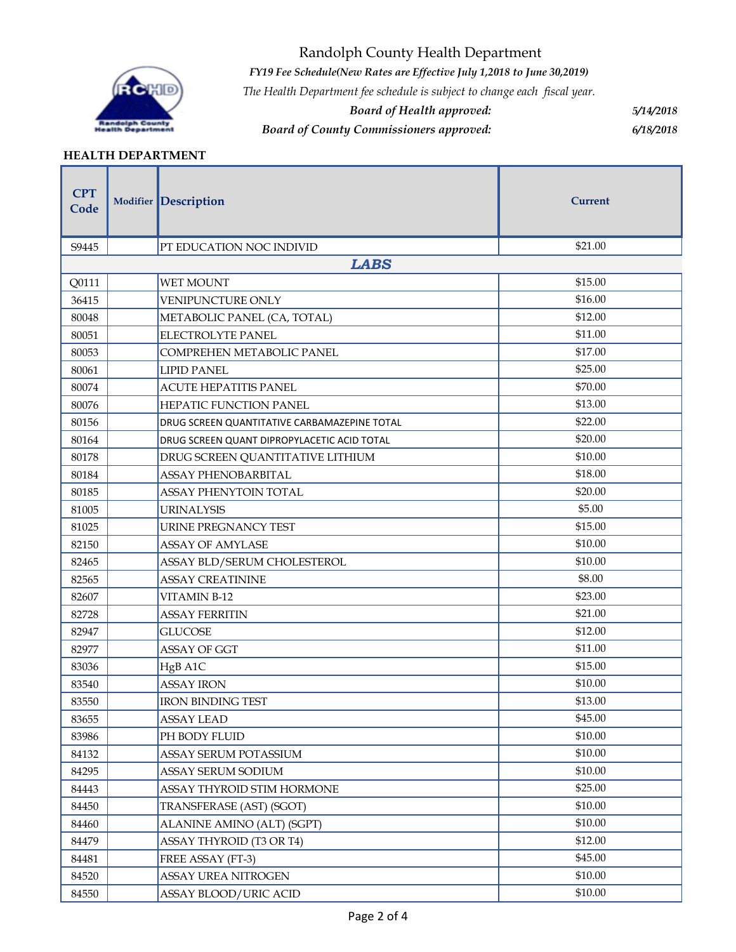

*FY19 Fee Schedule(New Rates are Effective July 1,2018 to June 30,2019)*

*The Health Department fee schedule is subject to change each fiscal year.*

*Board of Health approved: 5/14/2018*

*Board of County Commissioners approved: 6/18/2018*

#### **HEALTH DEPARTMENT**

| <b>CPT</b><br>Code | Modifier Description                         | <b>Current</b> |
|--------------------|----------------------------------------------|----------------|
| S9445              | PT EDUCATION NOC INDIVID                     | \$21.00        |
|                    | <b>LABS</b>                                  |                |
| Q0111              | <b>WET MOUNT</b>                             | \$15.00        |
| 36415              | <b>VENIPUNCTURE ONLY</b>                     | \$16.00        |
| 80048              | METABOLIC PANEL (CA, TOTAL)                  | \$12.00        |
| 80051              | ELECTROLYTE PANEL                            | \$11.00        |
| 80053              | COMPREHEN METABOLIC PANEL                    | \$17.00        |
| 80061              | <b>LIPID PANEL</b>                           | \$25.00        |
| 80074              | <b>ACUTE HEPATITIS PANEL</b>                 | \$70.00        |
| 80076              | HEPATIC FUNCTION PANEL                       | \$13.00        |
| 80156              | DRUG SCREEN QUANTITATIVE CARBAMAZEPINE TOTAL | \$22.00        |
| 80164              | DRUG SCREEN QUANT DIPROPYLACETIC ACID TOTAL  | \$20.00        |
| 80178              | DRUG SCREEN QUANTITATIVE LITHIUM             | \$10.00        |
| 80184              | <b>ASSAY PHENOBARBITAL</b>                   | \$18.00        |
| 80185              | ASSAY PHENYTOIN TOTAL                        | \$20.00        |
| 81005              | <b>URINALYSIS</b>                            | \$5.00         |
| 81025              | <b>URINE PREGNANCY TEST</b>                  | \$15.00        |
| 82150              | <b>ASSAY OF AMYLASE</b>                      | \$10.00        |
| 82465              | ASSAY BLD/SERUM CHOLESTEROL                  | \$10.00        |
| 82565              | <b>ASSAY CREATININE</b>                      | \$8.00         |
| 82607              | <b>VITAMIN B-12</b>                          | \$23.00        |
| 82728              | <b>ASSAY FERRITIN</b>                        | \$21.00        |
| 82947              | <b>GLUCOSE</b>                               | \$12.00        |
| 82977              | <b>ASSAY OF GGT</b>                          | \$11.00        |
| 83036              | HgB A1C                                      | \$15.00        |
| 83540              | <b>ASSAY IRON</b>                            | \$10.00        |
| 83550              | <b>IRON BINDING TEST</b>                     | \$13.00        |
| 83655              | <b>ASSAY LEAD</b>                            | \$45.00        |
| 83986              | PH BODY FLUID                                | \$10.00        |
| 84132              | ASSAY SERUM POTASSIUM                        | \$10.00        |
| 84295              | <b>ASSAY SERUM SODIUM</b>                    | \$10.00        |
| 84443              | ASSAY THYROID STIM HORMONE                   | \$25.00        |
| 84450              | TRANSFERASE (AST) (SGOT)                     | \$10.00        |
| 84460              | ALANINE AMINO (ALT) (SGPT)                   | \$10.00        |
| 84479              | ASSAY THYROID (T3 OR T4)                     | \$12.00        |
| 84481              | FREE ASSAY (FT-3)                            | \$45.00        |
| 84520              | ASSAY UREA NITROGEN                          | \$10.00        |
| 84550              | ASSAY BLOOD/URIC ACID                        | \$10.00        |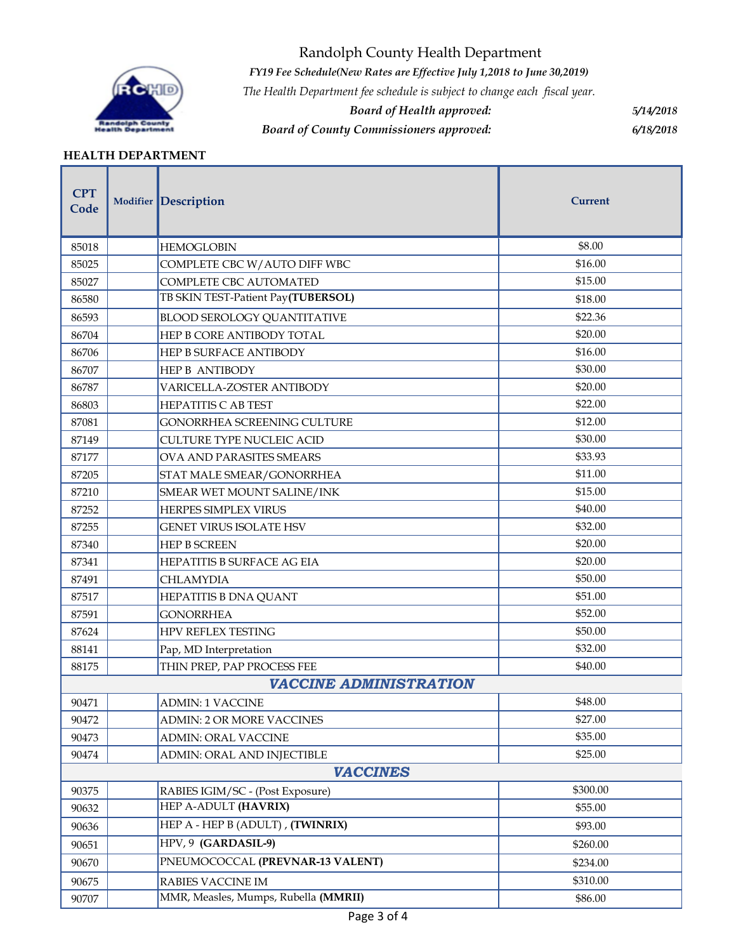

*FY19 Fee Schedule(New Rates are Effective July 1,2018 to June 30,2019)*

*The Health Department fee schedule is subject to change each fiscal year.*

*Board of Health approved: 5/14/2018*

*Board of County Commissioners approved: 6/18/2018*

#### **HEALTH DEPARTMENT**

| <b>CPT</b><br>Code |                 | Modifier Description                 | Current  |  |  |  |  |
|--------------------|-----------------|--------------------------------------|----------|--|--|--|--|
| 85018              |                 | <b>HEMOGLOBIN</b>                    | \$8.00   |  |  |  |  |
| 85025              |                 | COMPLETE CBC W/AUTO DIFF WBC         | \$16.00  |  |  |  |  |
| 85027              |                 | COMPLETE CBC AUTOMATED               | \$15.00  |  |  |  |  |
| 86580              |                 | TB SKIN TEST-Patient Pay(TUBERSOL)   | \$18.00  |  |  |  |  |
| 86593              |                 | <b>BLOOD SEROLOGY QUANTITATIVE</b>   | \$22.36  |  |  |  |  |
| 86704              |                 | HEP B CORE ANTIBODY TOTAL            | \$20.00  |  |  |  |  |
| 86706              |                 | HEP B SURFACE ANTIBODY               | \$16.00  |  |  |  |  |
| 86707              |                 | <b>HEP B ANTIBODY</b>                | \$30.00  |  |  |  |  |
| 86787              |                 | VARICELLA-ZOSTER ANTIBODY            | \$20.00  |  |  |  |  |
| 86803              |                 | <b>HEPATITIS C AB TEST</b>           | \$22.00  |  |  |  |  |
| 87081              |                 | GONORRHEA SCREENING CULTURE          | \$12.00  |  |  |  |  |
| 87149              |                 | <b>CULTURE TYPE NUCLEIC ACID</b>     | \$30.00  |  |  |  |  |
| 87177              |                 | OVA AND PARASITES SMEARS             | \$33.93  |  |  |  |  |
| 87205              |                 | STAT MALE SMEAR/GONORRHEA            | \$11.00  |  |  |  |  |
| 87210              |                 | SMEAR WET MOUNT SALINE/INK           | \$15.00  |  |  |  |  |
| 87252              |                 | <b>HERPES SIMPLEX VIRUS</b>          | \$40.00  |  |  |  |  |
| 87255              |                 | <b>GENET VIRUS ISOLATE HSV</b>       | \$32.00  |  |  |  |  |
| 87340              |                 | <b>HEP B SCREEN</b>                  | \$20.00  |  |  |  |  |
| 87341              |                 | HEPATITIS B SURFACE AG EIA           | \$20.00  |  |  |  |  |
| 87491              |                 | <b>CHLAMYDIA</b>                     | \$50.00  |  |  |  |  |
| 87517              |                 | HEPATITIS B DNA QUANT                | \$51.00  |  |  |  |  |
| 87591              |                 | <b>GONORRHEA</b>                     | \$52.00  |  |  |  |  |
| 87624              |                 | <b>HPV REFLEX TESTING</b>            | \$50.00  |  |  |  |  |
| 88141              |                 | Pap, MD Interpretation               | \$32.00  |  |  |  |  |
| 88175              |                 | THIN PREP, PAP PROCESS FEE           | \$40.00  |  |  |  |  |
|                    |                 | <b>VACCINE ADMINISTRATION</b>        |          |  |  |  |  |
| 90471              |                 | <b>ADMIN: 1 VACCINE</b>              | \$48.00  |  |  |  |  |
| 90472              |                 | <b>ADMIN: 2 OR MORE VACCINES</b>     | \$27.00  |  |  |  |  |
| 90473              |                 | <b>ADMIN: ORAL VACCINE</b>           | \$35.00  |  |  |  |  |
| 90474              |                 | <b>ADMIN: ORAL AND INJECTIBLE</b>    | \$25.00  |  |  |  |  |
|                    | <b>VACCINES</b> |                                      |          |  |  |  |  |
| 90375              |                 | RABIES IGIM/SC - (Post Exposure)     | \$300.00 |  |  |  |  |
| 90632              |                 | HEP A-ADULT (HAVRIX)                 | \$55.00  |  |  |  |  |
| 90636              |                 | HEP A - HEP B (ADULT), (TWINRIX)     | \$93.00  |  |  |  |  |
| 90651              |                 | HPV, 9 (GARDASIL-9)                  | \$260.00 |  |  |  |  |
| 90670              |                 | PNEUMOCOCCAL (PREVNAR-13 VALENT)     | \$234.00 |  |  |  |  |
| 90675              |                 | RABIES VACCINE IM                    | \$310.00 |  |  |  |  |
| 90707              |                 | MMR, Measles, Mumps, Rubella (MMRII) | \$86.00  |  |  |  |  |